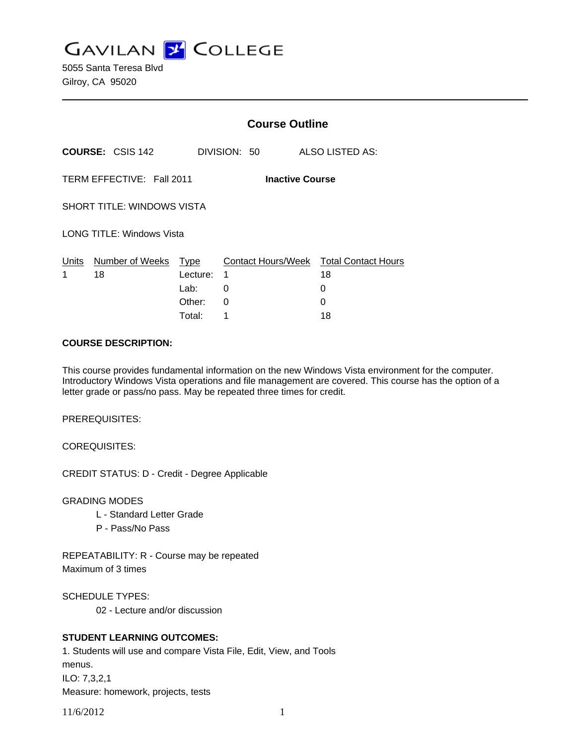**GAVILAN Z COLLEGE** 

5055 Santa Teresa Blvd Gilroy, CA 95020

|                                                     |                                   | <b>Course Outline</b>      |                    |                                                        |  |
|-----------------------------------------------------|-----------------------------------|----------------------------|--------------------|--------------------------------------------------------|--|
|                                                     | <b>COURSE: CSIS 142</b>           |                            | DIVISION: 50       | ALSO LISTED AS:                                        |  |
| TERM EFFECTIVE: Fall 2011<br><b>Inactive Course</b> |                                   |                            |                    |                                                        |  |
|                                                     | <b>SHORT TITLE: WINDOWS VISTA</b> |                            |                    |                                                        |  |
|                                                     | <b>LONG TITLE: Windows Vista</b>  |                            |                    |                                                        |  |
| Units<br>1                                          | Number of Weeks Type<br>18        | Lecture:<br>Lab:<br>Other: | 1<br>0<br>$\Omega$ | Contact Hours/Week Total Contact Hours<br>18<br>0<br>0 |  |
|                                                     |                                   | Total:                     | 1                  | 18                                                     |  |

#### **COURSE DESCRIPTION:**

This course provides fundamental information on the new Windows Vista environment for the computer. Introductory Windows Vista operations and file management are covered. This course has the option of a letter grade or pass/no pass. May be repeated three times for credit.

PREREQUISITES:

COREQUISITES:

CREDIT STATUS: D - Credit - Degree Applicable

GRADING MODES

- L Standard Letter Grade
- P Pass/No Pass

REPEATABILITY: R - Course may be repeated Maximum of 3 times

SCHEDULE TYPES:

02 - Lecture and/or discussion

# **STUDENT LEARNING OUTCOMES:**

1. Students will use and compare Vista File, Edit, View, and Tools menus. ILO: 7,3,2,1 Measure: homework, projects, tests

11/6/2012 1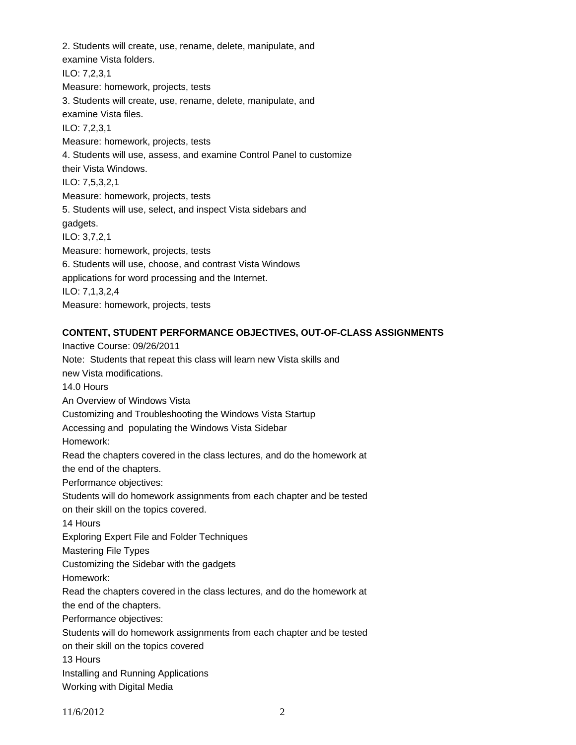2. Students will create, use, rename, delete, manipulate, and examine Vista folders. ILO: 7,2,3,1 Measure: homework, projects, tests 3. Students will create, use, rename, delete, manipulate, and examine Vista files. ILO: 7,2,3,1 Measure: homework, projects, tests 4. Students will use, assess, and examine Control Panel to customize their Vista Windows. ILO: 7,5,3,2,1 Measure: homework, projects, tests 5. Students will use, select, and inspect Vista sidebars and gadgets. ILO: 3,7,2,1 Measure: homework, projects, tests 6. Students will use, choose, and contrast Vista Windows applications for word processing and the Internet. ILO: 7,1,3,2,4 Measure: homework, projects, tests

### **CONTENT, STUDENT PERFORMANCE OBJECTIVES, OUT-OF-CLASS ASSIGNMENTS**

Inactive Course: 09/26/2011 Note: Students that repeat this class will learn new Vista skills and new Vista modifications. 14.0 Hours An Overview of Windows Vista Customizing and Troubleshooting the Windows Vista Startup Accessing and populating the Windows Vista Sidebar Homework: Read the chapters covered in the class lectures, and do the homework at the end of the chapters. Performance objectives: Students will do homework assignments from each chapter and be tested on their skill on the topics covered. 14 Hours Exploring Expert File and Folder Techniques Mastering File Types Customizing the Sidebar with the gadgets Homework: Read the chapters covered in the class lectures, and do the homework at the end of the chapters. Performance objectives: Students will do homework assignments from each chapter and be tested on their skill on the topics covered 13 Hours Installing and Running Applications Working with Digital Media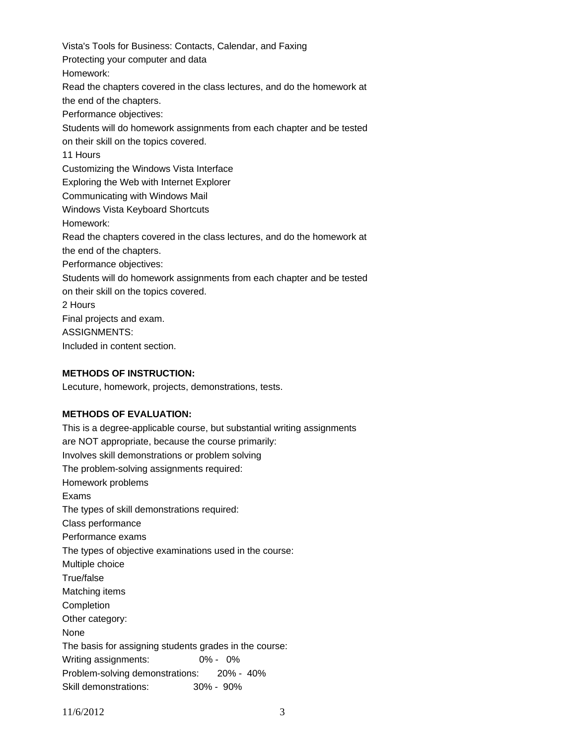Vista's Tools for Business: Contacts, Calendar, and Faxing Protecting your computer and data Homework: Read the chapters covered in the class lectures, and do the homework at the end of the chapters. Performance objectives: Students will do homework assignments from each chapter and be tested on their skill on the topics covered. 11 Hours Customizing the Windows Vista Interface Exploring the Web with Internet Explorer Communicating with Windows Mail Windows Vista Keyboard Shortcuts Homework: Read the chapters covered in the class lectures, and do the homework at the end of the chapters. Performance objectives: Students will do homework assignments from each chapter and be tested on their skill on the topics covered. 2 Hours Final projects and exam. ASSIGNMENTS: Included in content section.

#### **METHODS OF INSTRUCTION:**

Lecuture, homework, projects, demonstrations, tests.

### **METHODS OF EVALUATION:**

This is a degree-applicable course, but substantial writing assignments are NOT appropriate, because the course primarily: Involves skill demonstrations or problem solving The problem-solving assignments required: Homework problems Exams The types of skill demonstrations required: Class performance Performance exams The types of objective examinations used in the course: Multiple choice True/false Matching items Completion Other category: None The basis for assigning students grades in the course: Writing assignments: 0% - 0% Problem-solving demonstrations: 20% - 40% Skill demonstrations: 30% - 90%